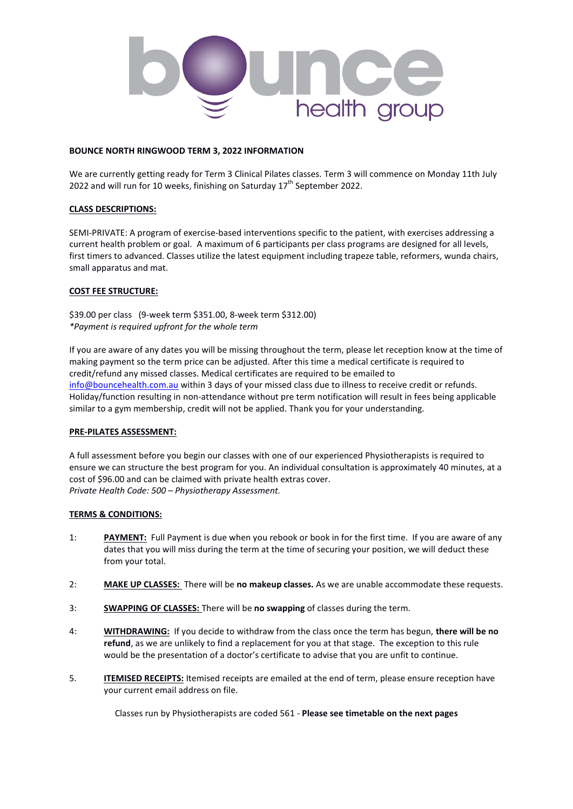

#### **BOUNCE NORTH RINGWOOD TERM 3, 2022 INFORMATION**

We are currently getting ready for Term 3 Clinical Pilates classes. Term 3 will commence on Monday 11th July 2022 and will run for 10 weeks, finishing on Saturday  $17<sup>th</sup>$  September 2022.

#### **CLASS DESCRIPTIONS:**

SEMI-PRIVATE: A program of exercise-based interventions specific to the patient, with exercises addressing a current health problem or goal. A maximum of 6 participants per class programs are designed for all levels, first timers to advanced. Classes utilize the latest equipment including trapeze table, reformers, wunda chairs, small apparatus and mat.

#### **COST FEE STRUCTURE:**

\$39.00 per class (9-week term \$351.00, 8-week term \$312.00) *\*Payment is required upfront for the whole term* 

If you are aware of any dates you will be missing throughout the term, please let reception know at the time of making payment so the term price can be adjusted. After this time a medical certificate is required to credit/refund any missed classes. Medical certificates are required to be emailed to [info@bouncehealth.com.au](about:blank) within 3 days of your missed class due to illness to receive credit or refunds. Holiday/function resulting in non-attendance without pre term notification will result in fees being applicable similar to a gym membership, credit will not be applied. Thank you for your understanding.

#### **PRE-PILATES ASSESSMENT:**

A full assessment before you begin our classes with one of our experienced Physiotherapists is required to ensure we can structure the best program for you. An individual consultation is approximately 40 minutes, at a cost of \$96.00 and can be claimed with private health extras cover. *Private Health Code: 500 – Physiotherapy Assessment.* 

#### **TERMS & CONDITIONS:**

- 1: **PAYMENT:** Full Payment is due when you rebook or book in for the first time. If you are aware of any dates that you will miss during the term at the time of securing your position, we will deduct these from your total.
- 2: **MAKE UP CLASSES:** There will be **no makeup classes.** As we are unable accommodate these requests.
- 3: **SWAPPING OF CLASSES:** There will be **no swapping** of classes during the term.
- 4: **WITHDRAWING:** If you decide to withdraw from the class once the term has begun, **there will be no refund**, as we are unlikely to find a replacement for you at that stage. The exception to this rule would be the presentation of a doctor's certificate to advise that you are unfit to continue.
- 5. **ITEMISED RECEIPTS:** Itemised receipts are emailed at the end of term, please ensure reception have your current email address on file.

Classes run by Physiotherapists are coded 561 - **Please see timetable on the next pages**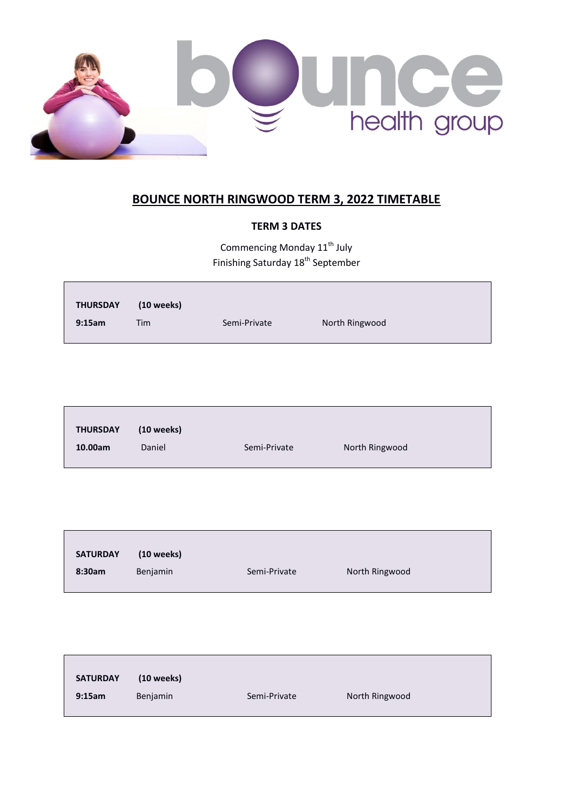

# **BOUNCE NORTH RINGWOOD TERM 3, 2022 TIMETABLE**

### **TERM 3 DATES**

Commencing Monday  $11^{\text{th}}$  July Finishing Saturday 18<sup>th</sup> September

| <b>THURSDAY</b> | $(10$ weeks) |              |                |
|-----------------|--------------|--------------|----------------|
| 9:15am          | Tim          | Semi-Private | North Ringwood |

| <b>THURSDAY</b><br>$(10$ weeks)<br>North Ringwood<br>Daniel<br>10.00am<br>Semi-Private |  |  |
|----------------------------------------------------------------------------------------|--|--|
|                                                                                        |  |  |
|                                                                                        |  |  |

| <b>SATURDAY</b> | (10 weeks)      |              |                |
|-----------------|-----------------|--------------|----------------|
| 8:30am          | <b>Benjamin</b> | Semi-Private | North Ringwood |

| <b>SATURDAY</b> | $(10$ weeks) |              |                |  |
|-----------------|--------------|--------------|----------------|--|
| 9:15am          | Benjamin     | Semi-Private | North Ringwood |  |